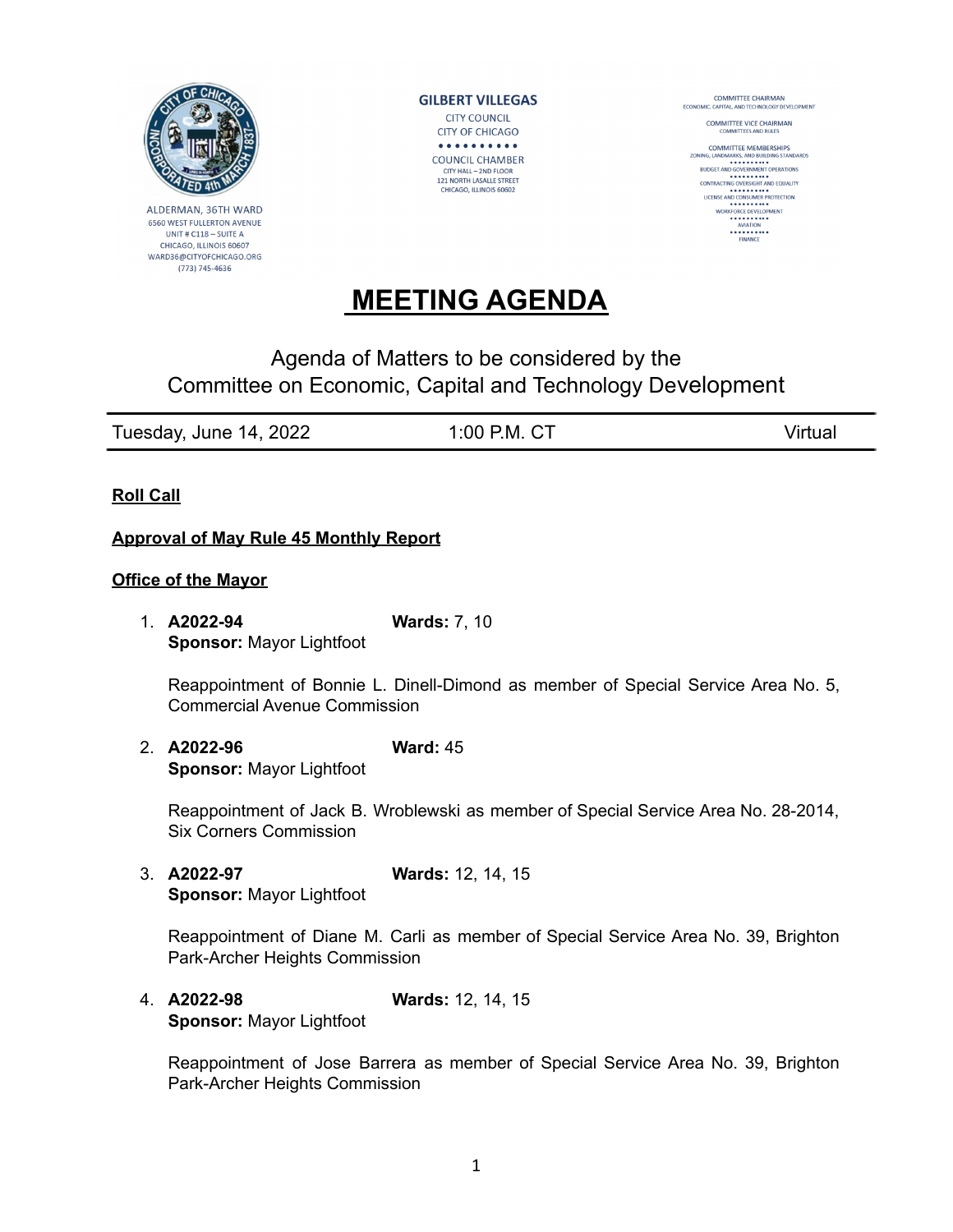

ALDERMAN, 36TH WARD 6560 WEST FULLERTON AVENUE UNIT#C118-SUITEA CHICAGO, ILLINOIS 60607 WARD36@CITYOFCHICAGO.ORG (773) 745-4636

**GILBERT VILLEGAS CITY COUNCIL CITY OF CHICAGO** . . . . . . . . . . **COUNCIL CHAMBER** CITY HALL - 2ND FLOOR 121 NORTH LASALLE STREET<br>CHICAGO, ILLINOIS 60602

**COMMITTEE CHAIRMAN**<br>ECONOMIC, CAPITAL, AND TECHNOLOGY DE LOGY DEVELOPMENT

COMMITTEE VICE CHAIRMAN

**COMMITTEE MEMBERSHIPS**<br>ZONING LANDMARKS AND RUILDING STANDARDS NING, LANDMARKS, AND BUILDING STANDAR<br>BUDGET AND GOVERNMENT OPERATIONS<br>CONTRACTING OVERSIGHT AND EQUALITY LICENSE AND CONSUMER PROTECTION WORKFORCE DEVELOPMENT<br>
AVIATION<br>
AVIATION<br>
FINANCE

## **MEETING AGENDA**

## Agenda of Matters to be considered by the Committee on Economic, Capital and Technology Development

| Tuesday, June 14, 2022 | 1:00 P.M. CT | Virtual |
|------------------------|--------------|---------|

**Roll Call**

## **Approval of May Rule 45 Monthly Report**

## **Office of the Mayor**

1. **A2022-94 Wards:** 7, 10 **Sponsor:** Mayor Lightfoot

Reappointment of Bonnie L. Dinell-Dimond as member of Special Service Area No. 5, Commercial Avenue Commission

2. **A2022-96 Ward:** 45 **Sponsor:** Mayor Lightfoot

Reappointment of Jack B. Wroblewski as member of Special Service Area No. 28-2014, Six Corners Commission

3. **A2022-97 Wards:** 12, 14, 15 **Sponsor:** Mayor Lightfoot

Reappointment of Diane M. Carli as member of Special Service Area No. 39, Brighton Park-Archer Heights Commission

4. **A2022-98 Wards:** 12, 14, 15 **Sponsor:** Mayor Lightfoot

Reappointment of Jose Barrera as member of Special Service Area No. 39, Brighton Park-Archer Heights Commission